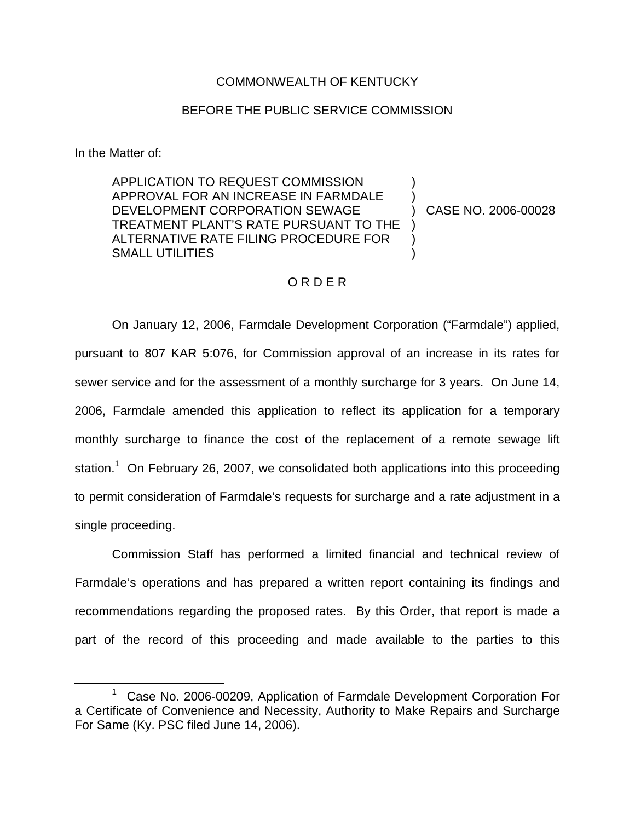### COMMONWEALTH OF KENTUCKY

### BEFORE THE PUBLIC SERVICE COMMISSION

In the Matter of:

APPLICATION TO REQUEST COMMISSION APPROVAL FOR AN INCREASE IN FARMDALE DEVELOPMENT CORPORATION SEWAGE TREATMENT PLANT'S RATE PURSUANT TO THE ALTERNATIVE RATE FILING PROCEDURE FOR SMALL UTILITIES

) CASE NO. 2006-00028

) )

) ) )

# O R D E R

On January 12, 2006, Farmdale Development Corporation ("Farmdale") applied, pursuant to 807 KAR 5:076, for Commission approval of an increase in its rates for sewer service and for the assessment of a monthly surcharge for 3 years. On June 14, 2006, Farmdale amended this application to reflect its application for a temporary monthly surcharge to finance the cost of the replacement of a remote sewage lift station.<sup>1</sup> On February 26, 2007, we consolidated both applications into this proceeding to permit consideration of Farmdale's requests for surcharge and a rate adjustment in a single proceeding.

Commission Staff has performed a limited financial and technical review of Farmdale's operations and has prepared a written report containing its findings and recommendations regarding the proposed rates. By this Order, that report is made a part of the record of this proceeding and made available to the parties to this

 $1$  Case No. 2006-00209, Application of Farmdale Development Corporation For a Certificate of Convenience and Necessity, Authority to Make Repairs and Surcharge For Same (Ky. PSC filed June 14, 2006).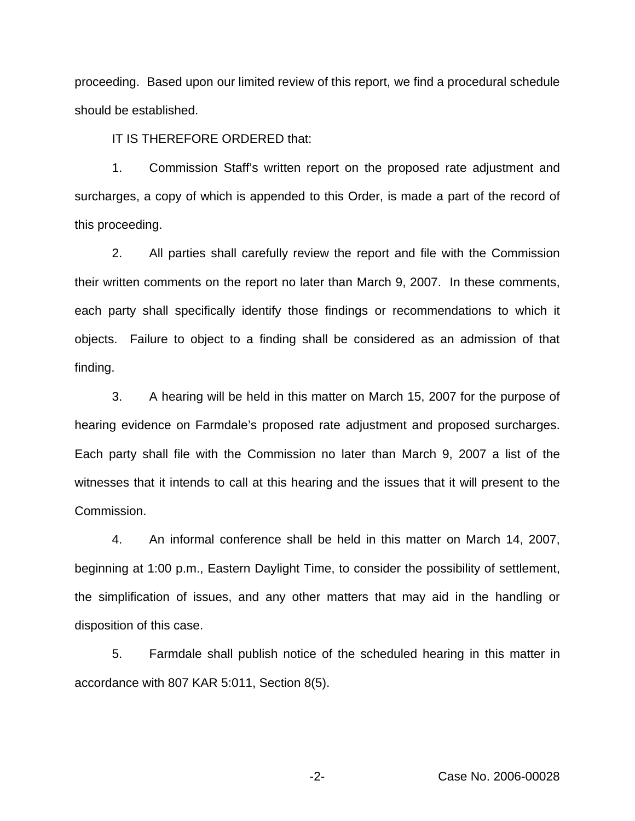proceeding. Based upon our limited review of this report, we find a procedural schedule should be established.

IT IS THEREFORE ORDERED that:

1. Commission Staff's written report on the proposed rate adjustment and surcharges, a copy of which is appended to this Order, is made a part of the record of this proceeding.

2. All parties shall carefully review the report and file with the Commission their written comments on the report no later than March 9, 2007. In these comments, each party shall specifically identify those findings or recommendations to which it objects. Failure to object to a finding shall be considered as an admission of that finding.

3. A hearing will be held in this matter on March 15, 2007 for the purpose of hearing evidence on Farmdale's proposed rate adjustment and proposed surcharges. Each party shall file with the Commission no later than March 9, 2007 a list of the witnesses that it intends to call at this hearing and the issues that it will present to the Commission.

4. An informal conference shall be held in this matter on March 14, 2007, beginning at 1:00 p.m., Eastern Daylight Time, to consider the possibility of settlement, the simplification of issues, and any other matters that may aid in the handling or disposition of this case.

5. Farmdale shall publish notice of the scheduled hearing in this matter in accordance with 807 KAR 5:011, Section 8(5).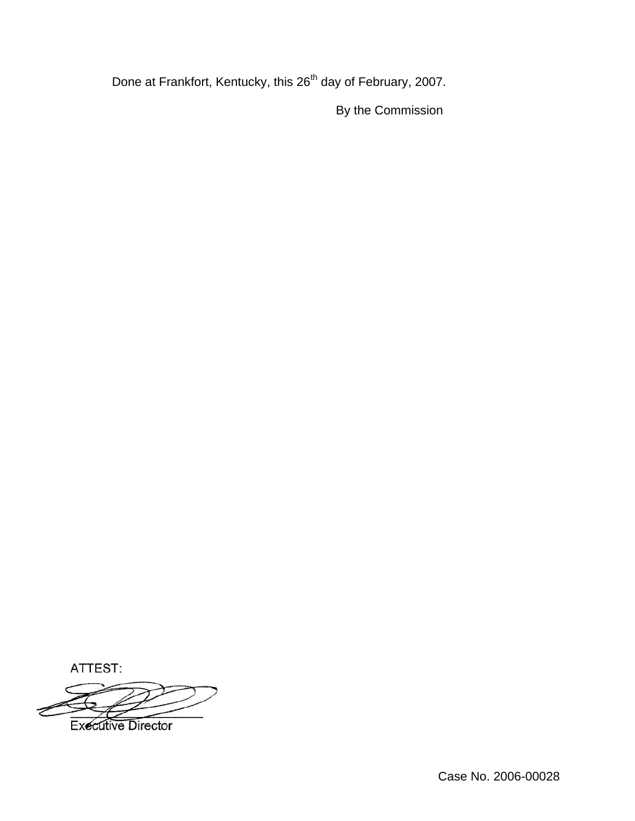Done at Frankfort, Kentucky, this 26<sup>th</sup> day of February, 2007.

By the Commission

ATTEST:



Case No. 2006-00028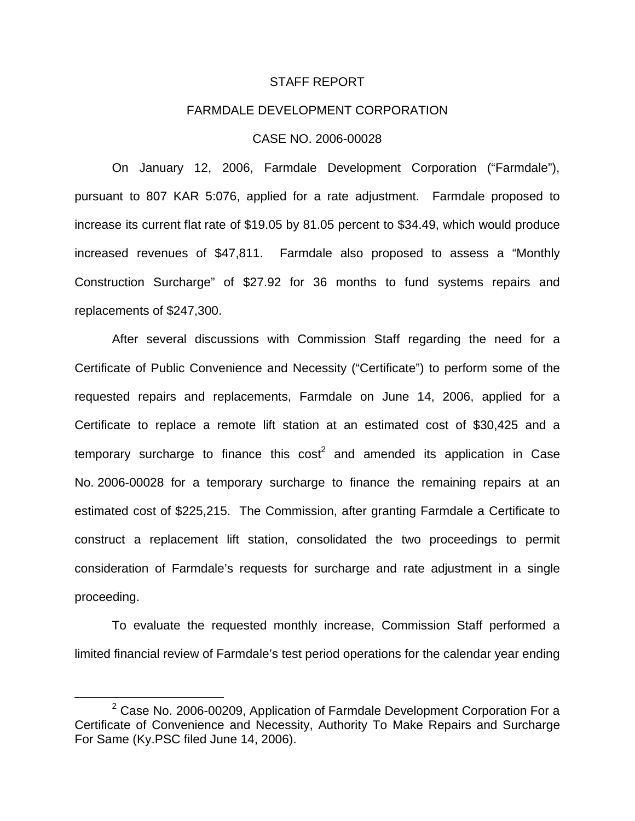#### STAFF REPORT

### FARMDALE DEVELOPMENT CORPORATION

### CASE NO. 2006-00028

On January 12, 2006, Farmdale Development Corporation ("Farmdale"), pursuant to 807 KAR 5:076, applied for a rate adjustment. Farmdale proposed to increase its current flat rate of \$19.05 by 81.05 percent to \$34.49, which would produce increased revenues of \$47,811. Farmdale also proposed to assess a "Monthly Construction Surcharge" of \$27.92 for 36 months to fund systems repairs and replacements of \$247,300.

After several discussions with Commission Staff regarding the need for a Certificate of Public Convenience and Necessity ("Certificate") to perform some of the requested repairs and replacements, Farmdale on June 14, 2006, applied for a Certificate to replace a remote lift station at an estimated cost of \$30,425 and a temporary surcharge to finance this  $cost<sup>2</sup>$  and amended its application in Case No. 2006-00028 for a temporary surcharge to finance the remaining repairs at an estimated cost of \$225,215. The Commission, after granting Farmdale a Certificate to construct a replacement lift station, consolidated the two proceedings to permit consideration of Farmdale's requests for surcharge and rate adjustment in a single proceeding.

To evaluate the requested monthly increase, Commission Staff performed a limited financial review of Farmdale's test period operations for the calendar year ending

 $2$  Case No. 2006-00209, Application of Farmdale Development Corporation For a Certificate of Convenience and Necessity, Authority To Make Repairs and Surcharge For Same (Ky.PSC filed June 14, 2006).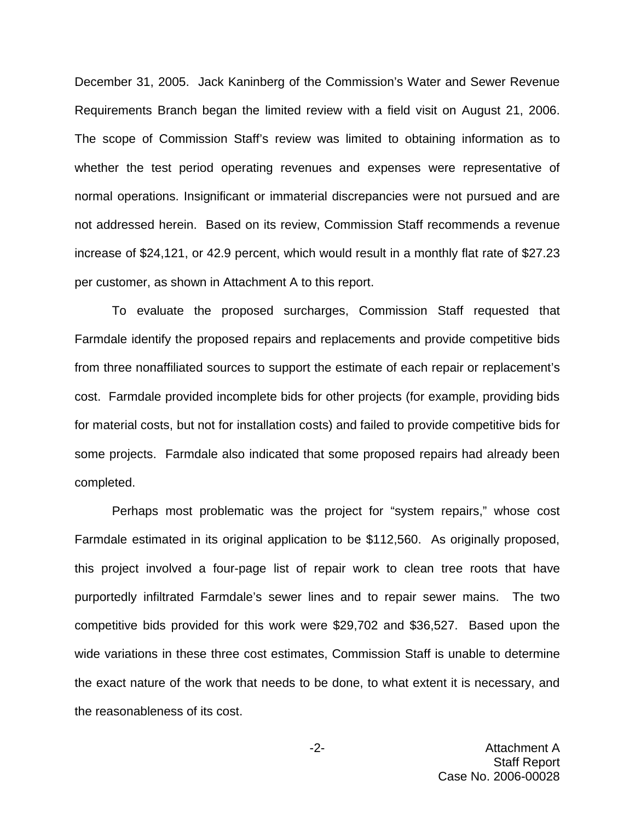December 31, 2005. Jack Kaninberg of the Commission's Water and Sewer Revenue Requirements Branch began the limited review with a field visit on August 21, 2006. The scope of Commission Staff's review was limited to obtaining information as to whether the test period operating revenues and expenses were representative of normal operations. Insignificant or immaterial discrepancies were not pursued and are not addressed herein. Based on its review, Commission Staff recommends a revenue increase of \$24,121, or 42.9 percent, which would result in a monthly flat rate of \$27.23 per customer, as shown in Attachment A to this report.

To evaluate the proposed surcharges, Commission Staff requested that Farmdale identify the proposed repairs and replacements and provide competitive bids from three nonaffiliated sources to support the estimate of each repair or replacement's cost. Farmdale provided incomplete bids for other projects (for example, providing bids for material costs, but not for installation costs) and failed to provide competitive bids for some projects. Farmdale also indicated that some proposed repairs had already been completed.

Perhaps most problematic was the project for "system repairs," whose cost Farmdale estimated in its original application to be \$112,560. As originally proposed, this project involved a four-page list of repair work to clean tree roots that have purportedly infiltrated Farmdale's sewer lines and to repair sewer mains. The two competitive bids provided for this work were \$29,702 and \$36,527. Based upon the wide variations in these three cost estimates, Commission Staff is unable to determine the exact nature of the work that needs to be done, to what extent it is necessary, and the reasonableness of its cost.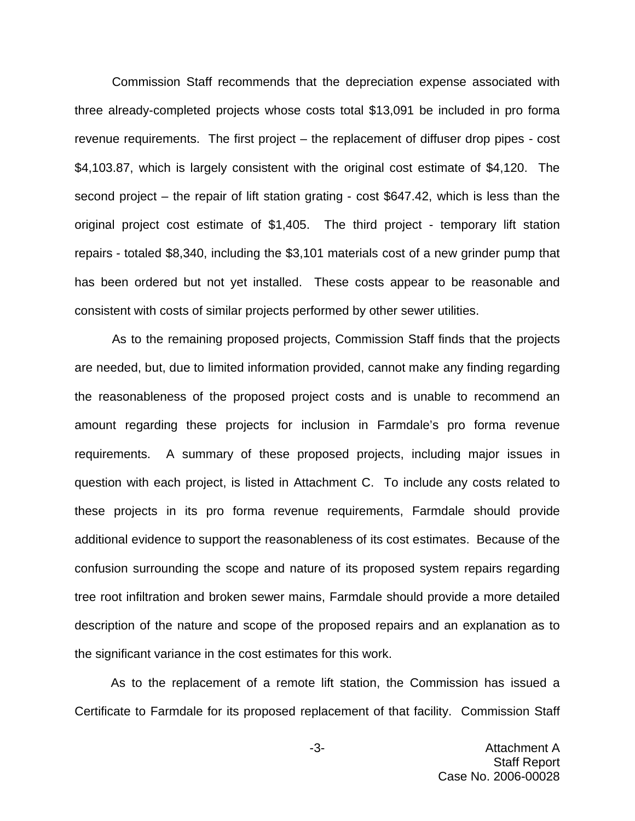Commission Staff recommends that the depreciation expense associated with three already-completed projects whose costs total \$13,091 be included in pro forma revenue requirements. The first project – the replacement of diffuser drop pipes - cost \$4,103.87, which is largely consistent with the original cost estimate of \$4,120. The second project – the repair of lift station grating - cost \$647.42, which is less than the original project cost estimate of \$1,405. The third project - temporary lift station repairs - totaled \$8,340, including the \$3,101 materials cost of a new grinder pump that has been ordered but not yet installed. These costs appear to be reasonable and consistent with costs of similar projects performed by other sewer utilities.

As to the remaining proposed projects, Commission Staff finds that the projects are needed, but, due to limited information provided, cannot make any finding regarding the reasonableness of the proposed project costs and is unable to recommend an amount regarding these projects for inclusion in Farmdale's pro forma revenue requirements. A summary of these proposed projects, including major issues in question with each project, is listed in Attachment C. To include any costs related to these projects in its pro forma revenue requirements, Farmdale should provide additional evidence to support the reasonableness of its cost estimates. Because of the confusion surrounding the scope and nature of its proposed system repairs regarding tree root infiltration and broken sewer mains, Farmdale should provide a more detailed description of the nature and scope of the proposed repairs and an explanation as to the significant variance in the cost estimates for this work.

As to the replacement of a remote lift station, the Commission has issued a Certificate to Farmdale for its proposed replacement of that facility. Commission Staff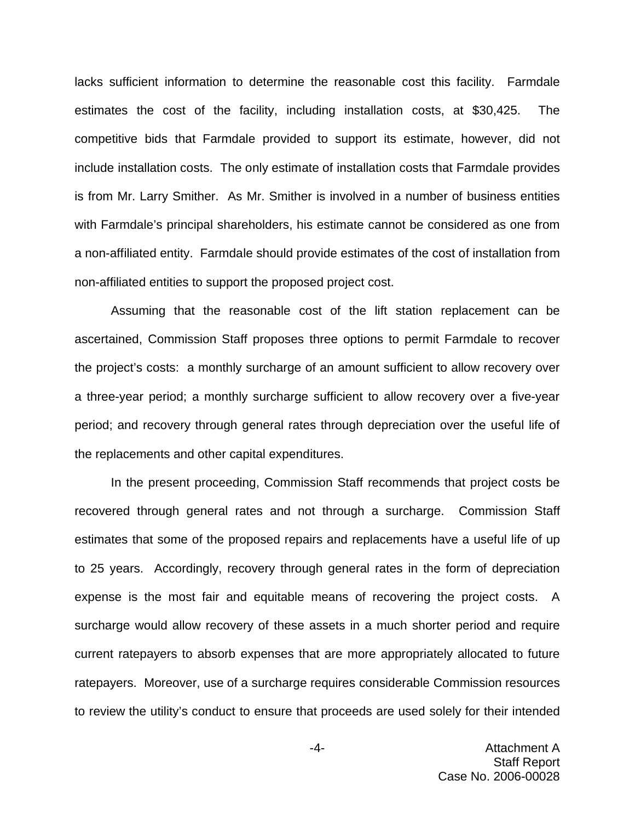lacks sufficient information to determine the reasonable cost this facility. Farmdale estimates the cost of the facility, including installation costs, at \$30,425. The competitive bids that Farmdale provided to support its estimate, however, did not include installation costs. The only estimate of installation costs that Farmdale provides is from Mr. Larry Smither. As Mr. Smither is involved in a number of business entities with Farmdale's principal shareholders, his estimate cannot be considered as one from a non-affiliated entity. Farmdale should provide estimates of the cost of installation from non-affiliated entities to support the proposed project cost.

Assuming that the reasonable cost of the lift station replacement can be ascertained, Commission Staff proposes three options to permit Farmdale to recover the project's costs: a monthly surcharge of an amount sufficient to allow recovery over a three-year period; a monthly surcharge sufficient to allow recovery over a five-year period; and recovery through general rates through depreciation over the useful life of the replacements and other capital expenditures.

In the present proceeding, Commission Staff recommends that project costs be recovered through general rates and not through a surcharge. Commission Staff estimates that some of the proposed repairs and replacements have a useful life of up to 25 years. Accordingly, recovery through general rates in the form of depreciation expense is the most fair and equitable means of recovering the project costs. A surcharge would allow recovery of these assets in a much shorter period and require current ratepayers to absorb expenses that are more appropriately allocated to future ratepayers. Moreover, use of a surcharge requires considerable Commission resources to review the utility's conduct to ensure that proceeds are used solely for their intended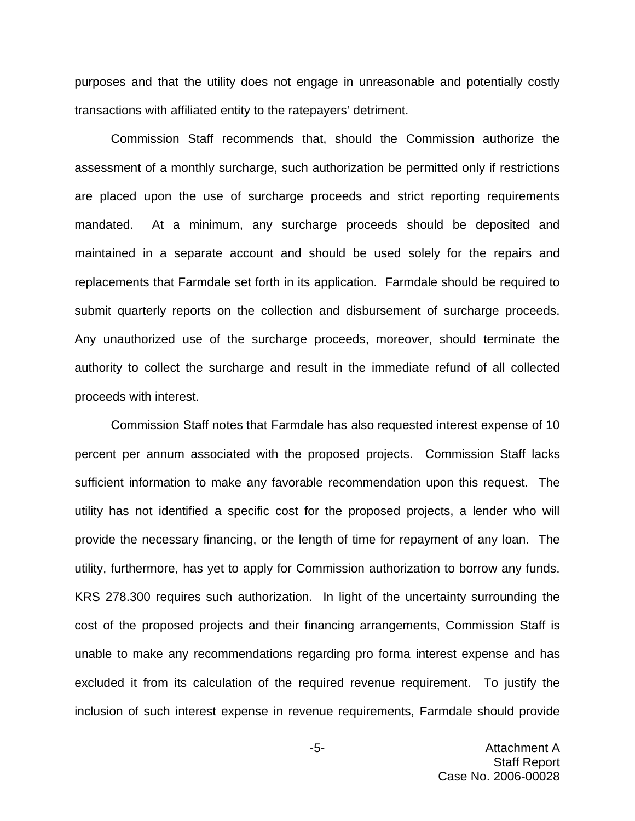purposes and that the utility does not engage in unreasonable and potentially costly transactions with affiliated entity to the ratepayers' detriment.

Commission Staff recommends that, should the Commission authorize the assessment of a monthly surcharge, such authorization be permitted only if restrictions are placed upon the use of surcharge proceeds and strict reporting requirements mandated. At a minimum, any surcharge proceeds should be deposited and maintained in a separate account and should be used solely for the repairs and replacements that Farmdale set forth in its application. Farmdale should be required to submit quarterly reports on the collection and disbursement of surcharge proceeds. Any unauthorized use of the surcharge proceeds, moreover, should terminate the authority to collect the surcharge and result in the immediate refund of all collected proceeds with interest.

Commission Staff notes that Farmdale has also requested interest expense of 10 percent per annum associated with the proposed projects. Commission Staff lacks sufficient information to make any favorable recommendation upon this request. The utility has not identified a specific cost for the proposed projects, a lender who will provide the necessary financing, or the length of time for repayment of any loan. The utility, furthermore, has yet to apply for Commission authorization to borrow any funds. KRS 278.300 requires such authorization. In light of the uncertainty surrounding the cost of the proposed projects and their financing arrangements, Commission Staff is unable to make any recommendations regarding pro forma interest expense and has excluded it from its calculation of the required revenue requirement. To justify the inclusion of such interest expense in revenue requirements, Farmdale should provide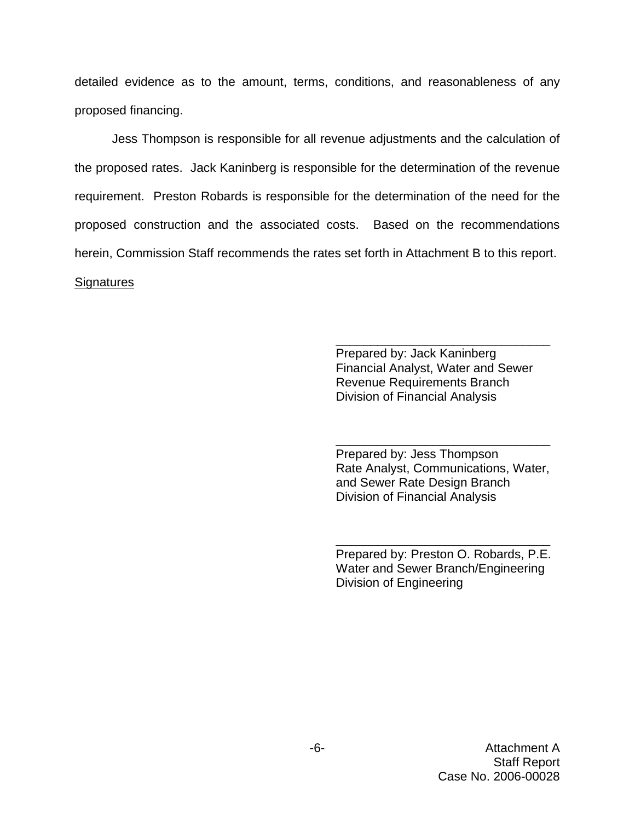detailed evidence as to the amount, terms, conditions, and reasonableness of any proposed financing.

Jess Thompson is responsible for all revenue adjustments and the calculation of the proposed rates. Jack Kaninberg is responsible for the determination of the revenue requirement. Preston Robards is responsible for the determination of the need for the proposed construction and the associated costs. Based on the recommendations herein, Commission Staff recommends the rates set forth in Attachment B to this report. **Signatures** 

> Prepared by: Jack Kaninberg Financial Analyst, Water and Sewer Revenue Requirements Branch Division of Financial Analysis

\_\_\_\_\_\_\_\_\_\_\_\_\_\_\_\_\_\_\_\_\_\_\_\_\_\_\_\_\_\_\_

Prepared by: Jess Thompson Rate Analyst, Communications, Water, and Sewer Rate Design Branch Division of Financial Analysis

\_\_\_\_\_\_\_\_\_\_\_\_\_\_\_\_\_\_\_\_\_\_\_\_\_\_\_\_\_\_\_

Prepared by: Preston O. Robards, P.E. Water and Sewer Branch/Engineering Division of Engineering

\_\_\_\_\_\_\_\_\_\_\_\_\_\_\_\_\_\_\_\_\_\_\_\_\_\_\_\_\_\_\_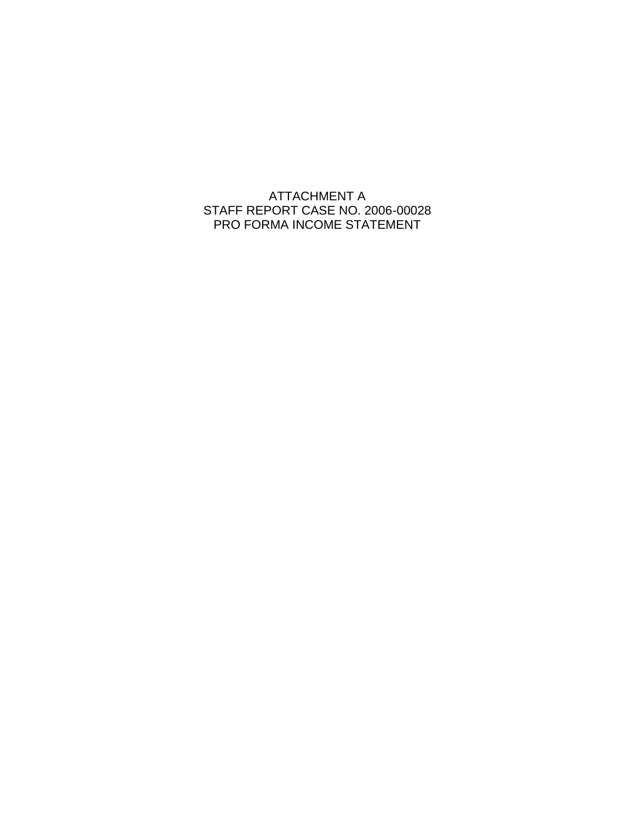ATTACHMENT A STAFF REPORT CASE NO. 2006-00028 PRO FORMA INCOME STATEMENT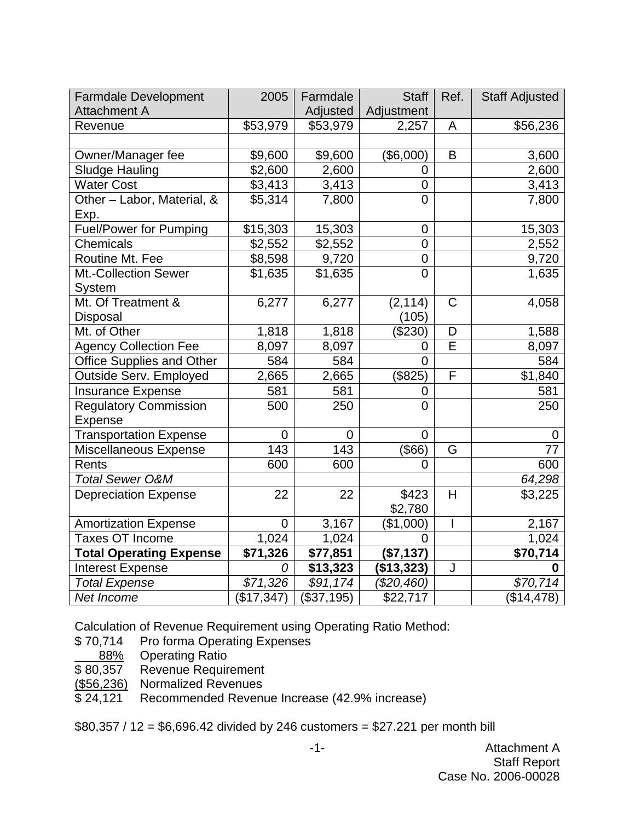| <b>Farmdale Development</b>      | 2005        | Farmdale             | <b>Staff</b>   | Ref.                     | <b>Staff Adjusted</b> |
|----------------------------------|-------------|----------------------|----------------|--------------------------|-----------------------|
| <b>Attachment A</b>              |             | Adjusted             | Adjustment     |                          |                       |
| Revenue                          | \$53,979    | \$53,979             | 2,257          | A                        | \$56,236              |
|                                  |             |                      |                |                          |                       |
| Owner/Manager fee                | \$9,600     | \$9,600              | (\$6,000)      | B                        | 3,600                 |
| <b>Sludge Hauling</b>            | \$2,600     | 2,600                | $\overline{0}$ |                          | 2,600                 |
| <b>Water Cost</b>                | \$3,413     | 3,413                | $\mathbf 0$    |                          | 3,413                 |
| Other - Labor, Material, &       | \$5,314     | 7,800                | $\overline{0}$ |                          | 7,800                 |
| Exp.                             |             |                      |                |                          |                       |
| <b>Fuel/Power for Pumping</b>    | \$15,303    | 15,303               | 0              |                          | 15,303                |
| <b>Chemicals</b>                 | \$2,552     | \$2,552              | $\overline{0}$ |                          | 2,552                 |
| Routine Mt. Fee                  | \$8,598     | 9,720                | $\overline{0}$ |                          | 9,720                 |
| Mt.-Collection Sewer             | \$1,635     | \$1,635              | $\overline{0}$ |                          | 1,635                 |
| System                           |             |                      |                |                          |                       |
| Mt. Of Treatment &               | 6,277       | 6,277                | (2, 114)       | $\mathsf{C}$             | 4,058                 |
| Disposal                         |             |                      | (105)          |                          |                       |
| Mt. of Other                     | 1,818       | 1,818                | $(\$230)$      | D                        | 1,588                 |
| <b>Agency Collection Fee</b>     | 8,097       | 8,097                | 0              | E                        | 8,097                 |
| <b>Office Supplies and Other</b> | 584         | 584                  | $\Omega$       |                          | 584                   |
| Outside Serv. Employed           | 2,665       | 2,665                | (\$825)        | F                        | \$1,840               |
| <b>Insurance Expense</b>         | 581         | 581                  | 0              |                          | 581                   |
| <b>Regulatory Commission</b>     | 500         | 250                  | $\overline{0}$ |                          | 250                   |
| <b>Expense</b>                   |             |                      |                |                          |                       |
| <b>Transportation Expense</b>    | $\mathbf 0$ | $\mathbf 0$          | $\overline{0}$ |                          | 0                     |
| Miscellaneous Expense            | 143         | 143                  | $($ \$66)      | G                        | 77                    |
| Rents                            | 600         | 600                  | $\overline{0}$ |                          | 600                   |
| <b>Total Sewer O&amp;M</b>       |             |                      |                |                          | 64,298                |
| <b>Depreciation Expense</b>      | 22          | 22                   | \$423          | H                        | \$3,225               |
|                                  |             |                      | \$2,780        |                          |                       |
| <b>Amortization Expense</b>      | $\mathbf 0$ | 3,167                | (\$1,000)      | $\overline{\phantom{a}}$ | 2,167                 |
| <b>Taxes OT Income</b>           | 1,024       | 1,024                | 0              |                          | 1,024                 |
| <b>Total Operating Expense</b>   | \$71,326    | \$77,851             | (\$7,137)      |                          | \$70,714              |
| <b>Interest Expense</b>          | 0           | $\overline{$}13,323$ | (\$13,323)     | J                        | 0                     |
| <b>Total Expense</b>             | \$71,326    | \$91,174             | (\$20,460)     |                          | \$70,714              |
| Net Income                       | (\$17,347)  | (\$37,195)           | \$22,717       |                          | (\$14,478)            |

Calculation of Revenue Requirement using Operating Ratio Method:<br>\$70,714 Pro forma Operating Expenses

Pro forma Operating Expenses

88% Operating Ratio<br>\$80,357 Revenue Requir

\$80,357 Revenue Requirement<br>(\$56,236) Normalized Revenues

Normalized Revenues

\$24,121 Recommended Revenue Increase (42.9% increase)

\$80,357 / 12 = \$6,696.42 divided by 246 customers = \$27.221 per month bill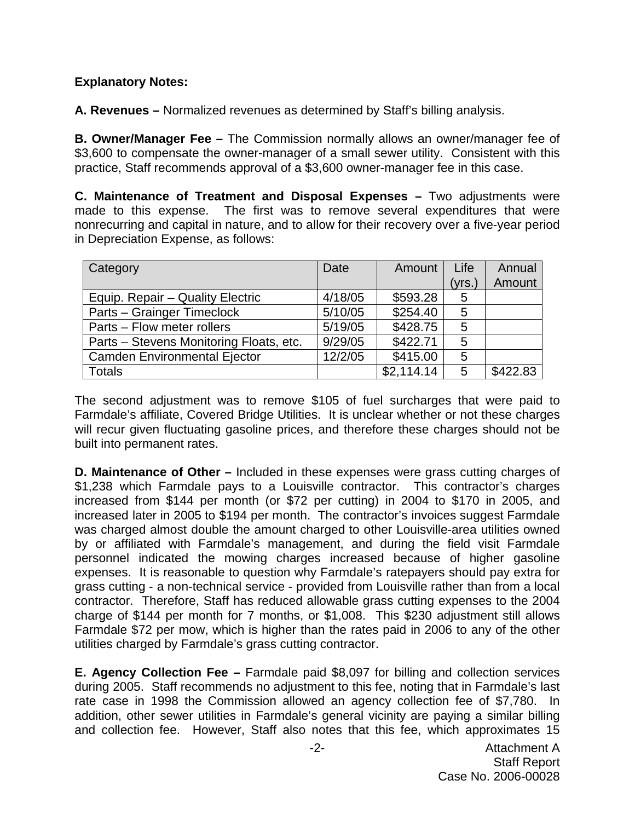# **Explanatory Notes:**

**A. Revenues –** Normalized revenues as determined by Staff's billing analysis.

**B. Owner/Manager Fee –** The Commission normally allows an owner/manager fee of \$3,600 to compensate the owner-manager of a small sewer utility. Consistent with this practice, Staff recommends approval of a \$3,600 owner-manager fee in this case.

**C. Maintenance of Treatment and Disposal Expenses –** Two adjustments were made to this expense. The first was to remove several expenditures that were nonrecurring and capital in nature, and to allow for their recovery over a five-year period in Depreciation Expense, as follows:

| Category                                | Date    | Amount     | Life   | Annual   |
|-----------------------------------------|---------|------------|--------|----------|
|                                         |         |            | (yrs.) | Amount   |
| Equip. Repair – Quality Electric        | 4/18/05 | \$593.28   | 5      |          |
| Parts – Grainger Timeclock              | 5/10/05 | \$254.40   | 5      |          |
| Parts - Flow meter rollers              | 5/19/05 | \$428.75   | 5      |          |
| Parts - Stevens Monitoring Floats, etc. | 9/29/05 | \$422.71   | 5      |          |
| <b>Camden Environmental Ejector</b>     | 12/2/05 | \$415.00   | 5      |          |
| Totals                                  |         | \$2,114.14 | 5      | \$422.83 |

The second adjustment was to remove \$105 of fuel surcharges that were paid to Farmdale's affiliate, Covered Bridge Utilities. It is unclear whether or not these charges will recur given fluctuating gasoline prices, and therefore these charges should not be built into permanent rates.

**D. Maintenance of Other –** Included in these expenses were grass cutting charges of \$1,238 which Farmdale pays to a Louisville contractor. This contractor's charges increased from \$144 per month (or \$72 per cutting) in 2004 to \$170 in 2005, and increased later in 2005 to \$194 per month. The contractor's invoices suggest Farmdale was charged almost double the amount charged to other Louisville-area utilities owned by or affiliated with Farmdale's management, and during the field visit Farmdale personnel indicated the mowing charges increased because of higher gasoline expenses. It is reasonable to question why Farmdale's ratepayers should pay extra for grass cutting - a non-technical service - provided from Louisville rather than from a local contractor. Therefore, Staff has reduced allowable grass cutting expenses to the 2004 charge of \$144 per month for 7 months, or \$1,008. This \$230 adjustment still allows Farmdale \$72 per mow, which is higher than the rates paid in 2006 to any of the other utilities charged by Farmdale's grass cutting contractor.

**E. Agency Collection Fee –** Farmdale paid \$8,097 for billing and collection services during 2005. Staff recommends no adjustment to this fee, noting that in Farmdale's last rate case in 1998 the Commission allowed an agency collection fee of \$7,780. In addition, other sewer utilities in Farmdale's general vicinity are paying a similar billing and collection fee. However, Staff also notes that this fee, which approximates 15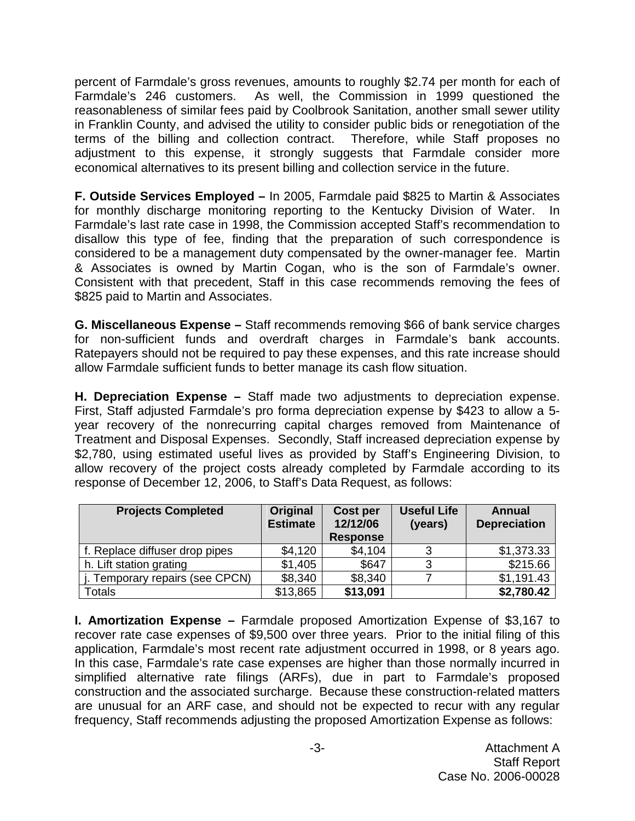percent of Farmdale's gross revenues, amounts to roughly \$2.74 per month for each of Farmdale's 246 customers. As well, the Commission in 1999 questioned the reasonableness of similar fees paid by Coolbrook Sanitation, another small sewer utility in Franklin County, and advised the utility to consider public bids or renegotiation of the terms of the billing and collection contract. Therefore, while Staff proposes no adjustment to this expense, it strongly suggests that Farmdale consider more economical alternatives to its present billing and collection service in the future.

**F. Outside Services Employed –** In 2005, Farmdale paid \$825 to Martin & Associates for monthly discharge monitoring reporting to the Kentucky Division of Water. Farmdale's last rate case in 1998, the Commission accepted Staff's recommendation to disallow this type of fee, finding that the preparation of such correspondence is considered to be a management duty compensated by the owner-manager fee. Martin & Associates is owned by Martin Cogan, who is the son of Farmdale's owner. Consistent with that precedent, Staff in this case recommends removing the fees of \$825 paid to Martin and Associates.

**G. Miscellaneous Expense –** Staff recommends removing \$66 of bank service charges for non-sufficient funds and overdraft charges in Farmdale's bank accounts. Ratepayers should not be required to pay these expenses, and this rate increase should allow Farmdale sufficient funds to better manage its cash flow situation.

**H. Depreciation Expense –** Staff made two adjustments to depreciation expense. First, Staff adjusted Farmdale's pro forma depreciation expense by \$423 to allow a 5 year recovery of the nonrecurring capital charges removed from Maintenance of Treatment and Disposal Expenses. Secondly, Staff increased depreciation expense by \$2,780, using estimated useful lives as provided by Staff's Engineering Division, to allow recovery of the project costs already completed by Farmdale according to its response of December 12, 2006, to Staff's Data Request, as follows:

| <b>Projects Completed</b>      | Original<br><b>Estimate</b> | Cost per<br>12/12/06<br><b>Response</b> | <b>Useful Life</b><br>(years) | Annual<br><b>Depreciation</b> |
|--------------------------------|-----------------------------|-----------------------------------------|-------------------------------|-------------------------------|
| f. Replace diffuser drop pipes | \$4,120                     | \$4,104                                 | າ                             | \$1,373.33                    |
| h. Lift station grating        | \$1,405                     | \$647                                   | 3                             | \$215.66                      |
| Temporary repairs (see CPCN)   | \$8,340                     | \$8,340                                 |                               | \$1,191.43                    |
| Totals                         | \$13,865                    | \$13,091                                |                               | \$2,780.42                    |

**I. Amortization Expense –** Farmdale proposed Amortization Expense of \$3,167 to recover rate case expenses of \$9,500 over three years. Prior to the initial filing of this application, Farmdale's most recent rate adjustment occurred in 1998, or 8 years ago. In this case, Farmdale's rate case expenses are higher than those normally incurred in simplified alternative rate filings (ARFs), due in part to Farmdale's proposed construction and the associated surcharge. Because these construction-related matters are unusual for an ARF case, and should not be expected to recur with any regular frequency, Staff recommends adjusting the proposed Amortization Expense as follows: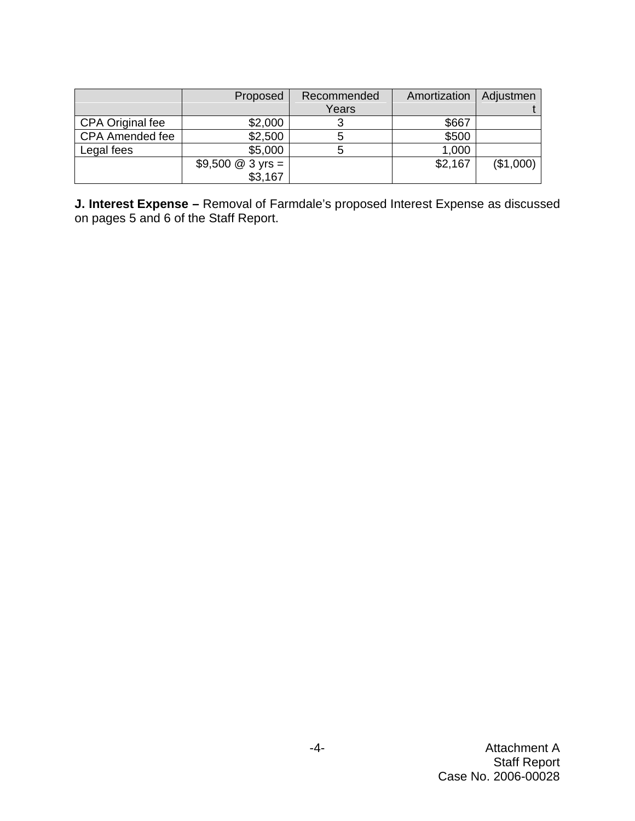|                         | Proposed           | Recommended | Amortization | Adjustmen |
|-------------------------|--------------------|-------------|--------------|-----------|
|                         |                    | Years       |              |           |
| <b>CPA Original fee</b> | \$2,000            |             | \$667        |           |
| <b>CPA Amended fee</b>  | \$2,500            | 5           | \$500        |           |
| Legal fees              | \$5,000            | b           | 1,000        |           |
|                         | \$9,500 $@3$ yrs = |             | \$2,167      | (\$1,000) |
|                         | \$3,167            |             |              |           |

**J. Interest Expense –** Removal of Farmdale's proposed Interest Expense as discussed on pages 5 and 6 of the Staff Report.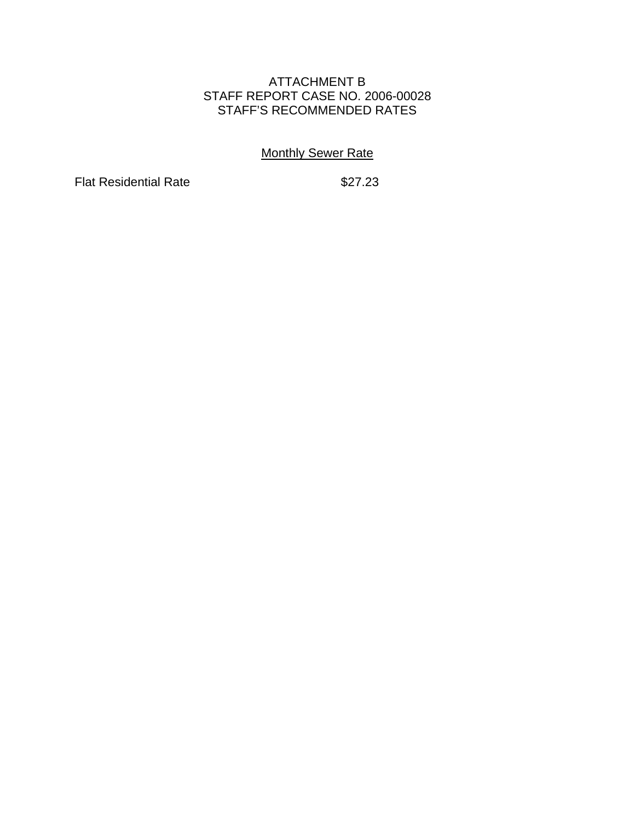## ATTACHMENT B STAFF REPORT CASE NO. 2006-00028 STAFF'S RECOMMENDED RATES

## **Monthly Sewer Rate**

Flat Residential Rate \$27.23